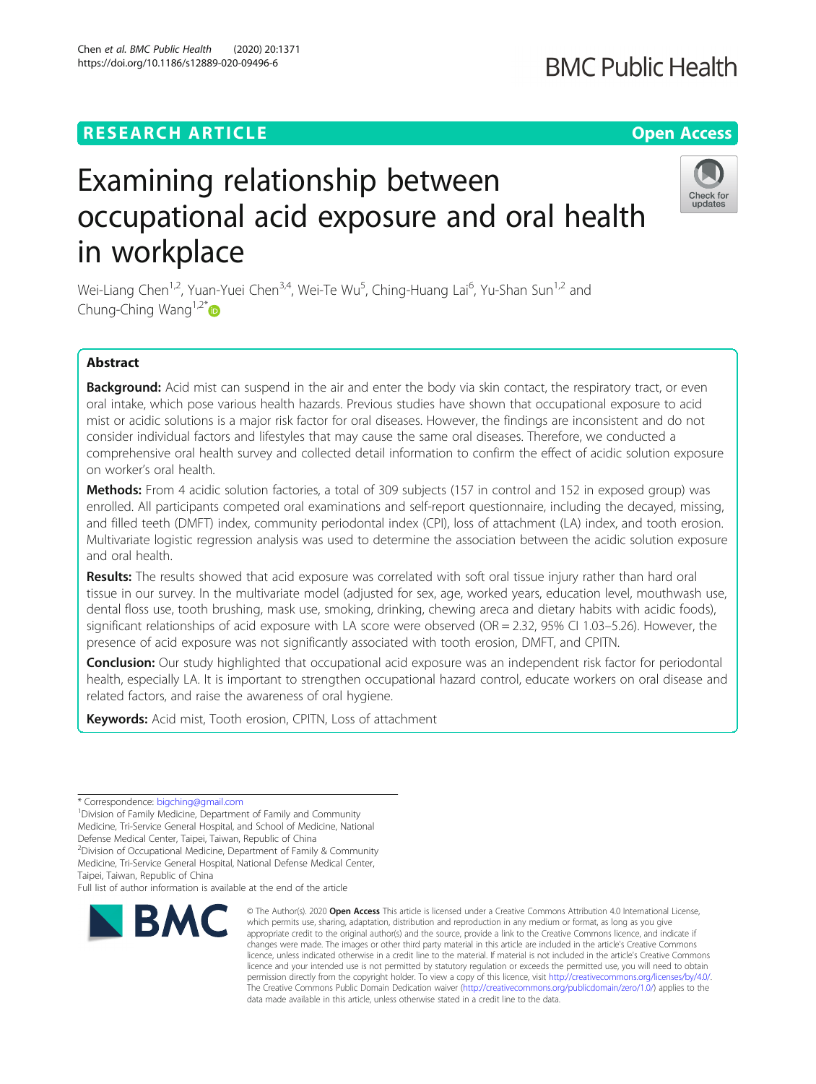## **RESEARCH ARTICLE Example 2014 12:30 The Contract of Contract ACCESS**

# Examining relationship between occupational acid exposure and oral health in workplace

Wei-Liang Chen<sup>1,2</sup>, Yuan-Yuei Chen<sup>3,4</sup>, Wei-Te Wu<sup>5</sup>, Ching-Huang Lai<sup>6</sup>, Yu-Shan Sun<sup>1,2</sup> and Chung-Ching Wang<sup>1,2\*</sup>

### Abstract

Background: Acid mist can suspend in the air and enter the body via skin contact, the respiratory tract, or even oral intake, which pose various health hazards. Previous studies have shown that occupational exposure to acid mist or acidic solutions is a major risk factor for oral diseases. However, the findings are inconsistent and do not consider individual factors and lifestyles that may cause the same oral diseases. Therefore, we conducted a comprehensive oral health survey and collected detail information to confirm the effect of acidic solution exposure on worker's oral health.

Methods: From 4 acidic solution factories, a total of 309 subjects (157 in control and 152 in exposed group) was enrolled. All participants competed oral examinations and self-report questionnaire, including the decayed, missing, and filled teeth (DMFT) index, community periodontal index (CPI), loss of attachment (LA) index, and tooth erosion. Multivariate logistic regression analysis was used to determine the association between the acidic solution exposure and oral health.

Results: The results showed that acid exposure was correlated with soft oral tissue injury rather than hard oral tissue in our survey. In the multivariate model (adjusted for sex, age, worked years, education level, mouthwash use, dental floss use, tooth brushing, mask use, smoking, drinking, chewing areca and dietary habits with acidic foods), significant relationships of acid exposure with LA score were observed (OR = 2.32, 95% CI 1.03-5.26). However, the presence of acid exposure was not significantly associated with tooth erosion, DMFT, and CPITN.

**Conclusion:** Our study highlighted that occupational acid exposure was an independent risk factor for periodontal health, especially LA. It is important to strengthen occupational hazard control, educate workers on oral disease and related factors, and raise the awareness of oral hygiene.

Keywords: Acid mist, Tooth erosion, CPITN, Loss of attachment

\* Correspondence: [bigching@gmail.com](mailto:bigching@gmail.com) <sup>1</sup>

Division of Family Medicine, Department of Family and Community Medicine, Tri-Service General Hospital, and School of Medicine, National

Defense Medical Center, Taipei, Taiwan, Republic of China

<sup>2</sup> Division of Occupational Medicine, Department of Family & Community

Medicine, Tri-Service General Hospital, National Defense Medical Center,

Taipei, Taiwan, Republic of China

Full list of author information is available at the end of the article



Check for updates



© The Author(s), 2020 **Open Access** This article is licensed under a Creative Commons Attribution 4.0 International License, which permits use, sharing, adaptation, distribution and reproduction in any medium or format, as long as you give appropriate credit to the original author(s) and the source, provide a link to the Creative Commons licence, and indicate if changes were made. The images or other third party material in this article are included in the article's Creative Commons licence, unless indicated otherwise in a credit line to the material. If material is not included in the article's Creative Commons licence and your intended use is not permitted by statutory regulation or exceeds the permitted use, you will need to obtain permission directly from the copyright holder. To view a copy of this licence, visit [http://creativecommons.org/licenses/by/4.0/.](http://creativecommons.org/licenses/by/4.0/) The Creative Commons Public Domain Dedication waiver [\(http://creativecommons.org/publicdomain/zero/1.0/](http://creativecommons.org/publicdomain/zero/1.0/)) applies to the data made available in this article, unless otherwise stated in a credit line to the data.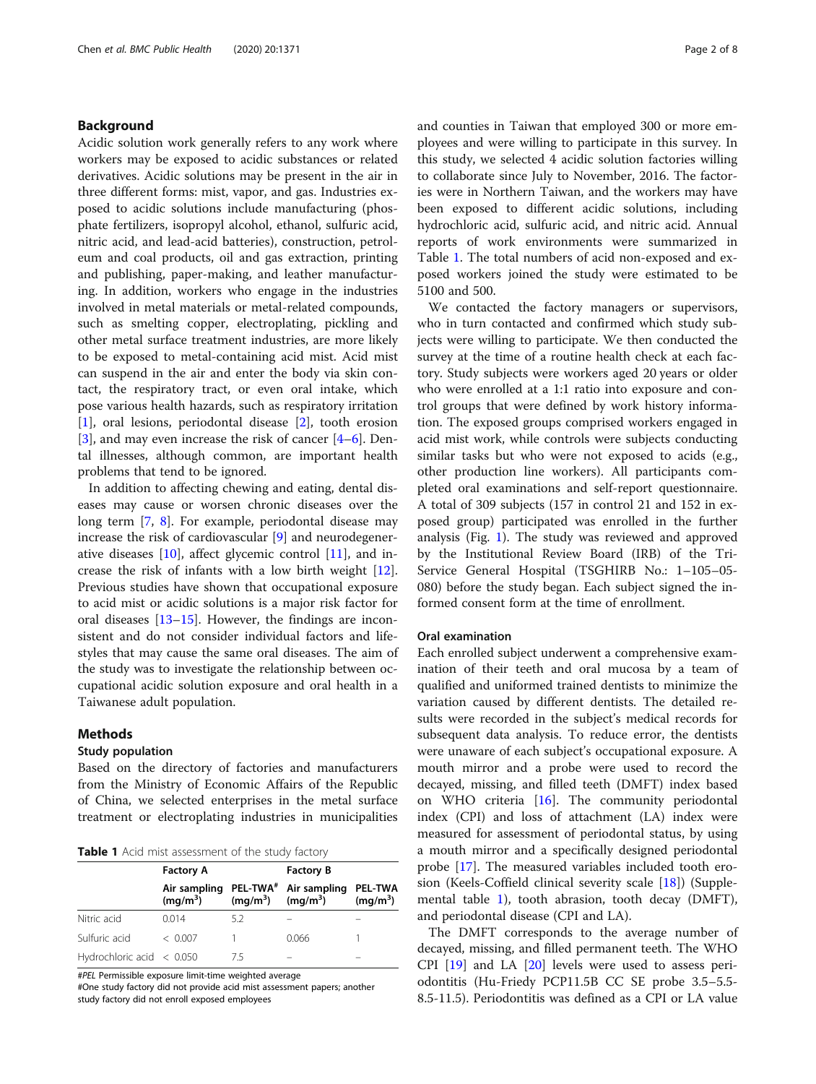#### Background

Acidic solution work generally refers to any work where workers may be exposed to acidic substances or related derivatives. Acidic solutions may be present in the air in three different forms: mist, vapor, and gas. Industries exposed to acidic solutions include manufacturing (phosphate fertilizers, isopropyl alcohol, ethanol, sulfuric acid, nitric acid, and lead-acid batteries), construction, petroleum and coal products, oil and gas extraction, printing and publishing, paper-making, and leather manufacturing. In addition, workers who engage in the industries involved in metal materials or metal-related compounds, such as smelting copper, electroplating, pickling and other metal surface treatment industries, are more likely to be exposed to metal-containing acid mist. Acid mist can suspend in the air and enter the body via skin contact, the respiratory tract, or even oral intake, which pose various health hazards, such as respiratory irritation [[1\]](#page-7-0), oral lesions, periodontal disease [[2](#page-7-0)], tooth erosion [[3\]](#page-7-0), and may even increase the risk of cancer [[4](#page-7-0)–[6\]](#page-7-0). Dental illnesses, although common, are important health problems that tend to be ignored.

In addition to affecting chewing and eating, dental diseases may cause or worsen chronic diseases over the long term [[7](#page-7-0), [8\]](#page-7-0). For example, periodontal disease may increase the risk of cardiovascular [[9\]](#page-7-0) and neurodegenerative diseases [\[10](#page-7-0)], affect glycemic control [[11\]](#page-7-0), and increase the risk of infants with a low birth weight [\[12](#page-7-0)]. Previous studies have shown that occupational exposure to acid mist or acidic solutions is a major risk factor for oral diseases [\[13](#page-7-0)–[15\]](#page-7-0). However, the findings are inconsistent and do not consider individual factors and lifestyles that may cause the same oral diseases. The aim of the study was to investigate the relationship between occupational acidic solution exposure and oral health in a Taiwanese adult population.

#### Methods

#### Study population

Based on the directory of factories and manufacturers from the Ministry of Economic Affairs of the Republic of China, we selected enterprises in the metal surface treatment or electroplating industries in municipalities

|  |  |  | Table 1 Acid mist assessment of the study factory |  |  |  |
|--|--|--|---------------------------------------------------|--|--|--|
|--|--|--|---------------------------------------------------|--|--|--|

|                                   | <b>Factory A</b> |            | <b>Factory B</b>                                             |                              |  |
|-----------------------------------|------------------|------------|--------------------------------------------------------------|------------------------------|--|
|                                   | $(mq/m^3)$       | $(mq/m^3)$ | Air sampling PEL-TWA <sup>#</sup> Air sampling<br>$(mq/m^3)$ | <b>PEL-TWA</b><br>$(mq/m^3)$ |  |
| Nitric acid                       | 0.014            | 5.2        |                                                              |                              |  |
| Sulfuric acid                     | < 0.007          |            | 0.066                                                        |                              |  |
| Hydrochloric acid $\langle$ 0.050 |                  | /5         |                                                              |                              |  |

#PEL Permissible exposure limit-time weighted average

#One study factory did not provide acid mist assessment papers; another study factory did not enroll exposed employees

and counties in Taiwan that employed 300 or more employees and were willing to participate in this survey. In this study, we selected 4 acidic solution factories willing to collaborate since July to November, 2016. The factories were in Northern Taiwan, and the workers may have been exposed to different acidic solutions, including hydrochloric acid, sulfuric acid, and nitric acid. Annual reports of work environments were summarized in Table 1. The total numbers of acid non-exposed and exposed workers joined the study were estimated to be 5100 and 500.

We contacted the factory managers or supervisors, who in turn contacted and confirmed which study subjects were willing to participate. We then conducted the survey at the time of a routine health check at each factory. Study subjects were workers aged 20 years or older who were enrolled at a 1:1 ratio into exposure and control groups that were defined by work history information. The exposed groups comprised workers engaged in acid mist work, while controls were subjects conducting similar tasks but who were not exposed to acids (e.g., other production line workers). All participants completed oral examinations and self-report questionnaire. A total of 309 subjects (157 in control 21 and 152 in exposed group) participated was enrolled in the further analysis (Fig. [1\)](#page-2-0). The study was reviewed and approved by the Institutional Review Board (IRB) of the Tri-Service General Hospital (TSGHIRB No.: 1–105–05- 080) before the study began. Each subject signed the informed consent form at the time of enrollment.

#### Oral examination

Each enrolled subject underwent a comprehensive examination of their teeth and oral mucosa by a team of qualified and uniformed trained dentists to minimize the variation caused by different dentists. The detailed results were recorded in the subject's medical records for subsequent data analysis. To reduce error, the dentists were unaware of each subject's occupational exposure. A mouth mirror and a probe were used to record the decayed, missing, and filled teeth (DMFT) index based on WHO criteria [[16\]](#page-7-0). The community periodontal index (CPI) and loss of attachment (LA) index were measured for assessment of periodontal status, by using a mouth mirror and a specifically designed periodontal probe [\[17](#page-7-0)]. The measured variables included tooth erosion (Keels-Coffield clinical severity scale [\[18\]](#page-7-0)) (Supplemental table [1\)](#page-6-0), tooth abrasion, tooth decay (DMFT), and periodontal disease (CPI and LA).

The DMFT corresponds to the average number of decayed, missing, and filled permanent teeth. The WHO CPI [\[19\]](#page-7-0) and LA [[20](#page-7-0)] levels were used to assess periodontitis (Hu-Friedy PCP11.5B CC SE probe 3.5–5.5- 8.5-11.5). Periodontitis was defined as a CPI or LA value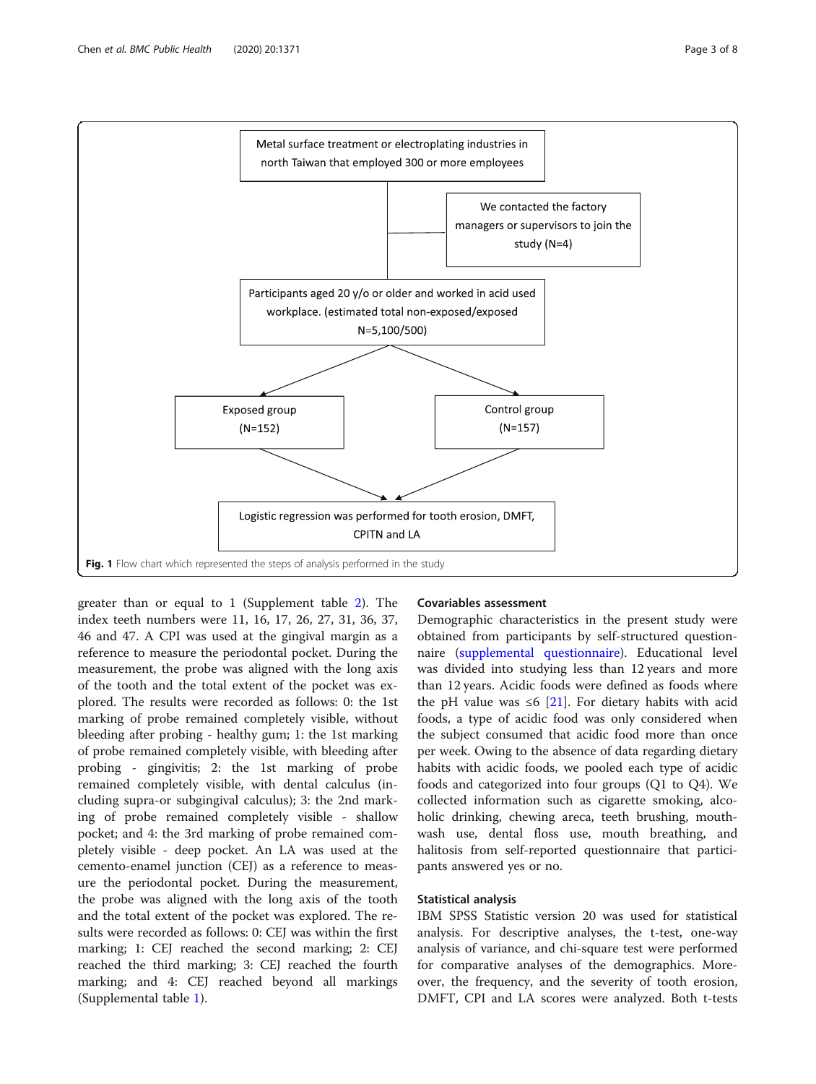<span id="page-2-0"></span>

greater than or equal to 1 (Supplement table [2\)](#page-6-0). The index teeth numbers were 11, 16, 17, 26, 27, 31, 36, 37, 46 and 47. A CPI was used at the gingival margin as a reference to measure the periodontal pocket. During the measurement, the probe was aligned with the long axis of the tooth and the total extent of the pocket was explored. The results were recorded as follows: 0: the 1st marking of probe remained completely visible, without bleeding after probing - healthy gum; 1: the 1st marking of probe remained completely visible, with bleeding after probing - gingivitis; 2: the 1st marking of probe remained completely visible, with dental calculus (including supra-or subgingival calculus); 3: the 2nd marking of probe remained completely visible - shallow pocket; and 4: the 3rd marking of probe remained completely visible - deep pocket. An LA was used at the cemento-enamel junction (CEJ) as a reference to measure the periodontal pocket. During the measurement, the probe was aligned with the long axis of the tooth and the total extent of the pocket was explored. The results were recorded as follows: 0: CEJ was within the first marking; 1: CEJ reached the second marking; 2: CEJ reached the third marking; 3: CEJ reached the fourth marking; and 4: CEJ reached beyond all markings (Supplemental table [1](#page-6-0)).

#### Covariables assessment

Demographic characteristics in the present study were obtained from participants by self-structured questionnaire [\(supplemental questionnaire\)](#page-6-0). Educational level was divided into studying less than 12 years and more than 12 years. Acidic foods were defined as foods where the pH value was ≤6 [\[21](#page-7-0)]. For dietary habits with acid foods, a type of acidic food was only considered when the subject consumed that acidic food more than once per week. Owing to the absence of data regarding dietary habits with acidic foods, we pooled each type of acidic foods and categorized into four groups (Q1 to Q4). We collected information such as cigarette smoking, alcoholic drinking, chewing areca, teeth brushing, mouthwash use, dental floss use, mouth breathing, and halitosis from self-reported questionnaire that participants answered yes or no.

#### Statistical analysis

IBM SPSS Statistic version 20 was used for statistical analysis. For descriptive analyses, the t-test, one-way analysis of variance, and chi-square test were performed for comparative analyses of the demographics. Moreover, the frequency, and the severity of tooth erosion, DMFT, CPI and LA scores were analyzed. Both t-tests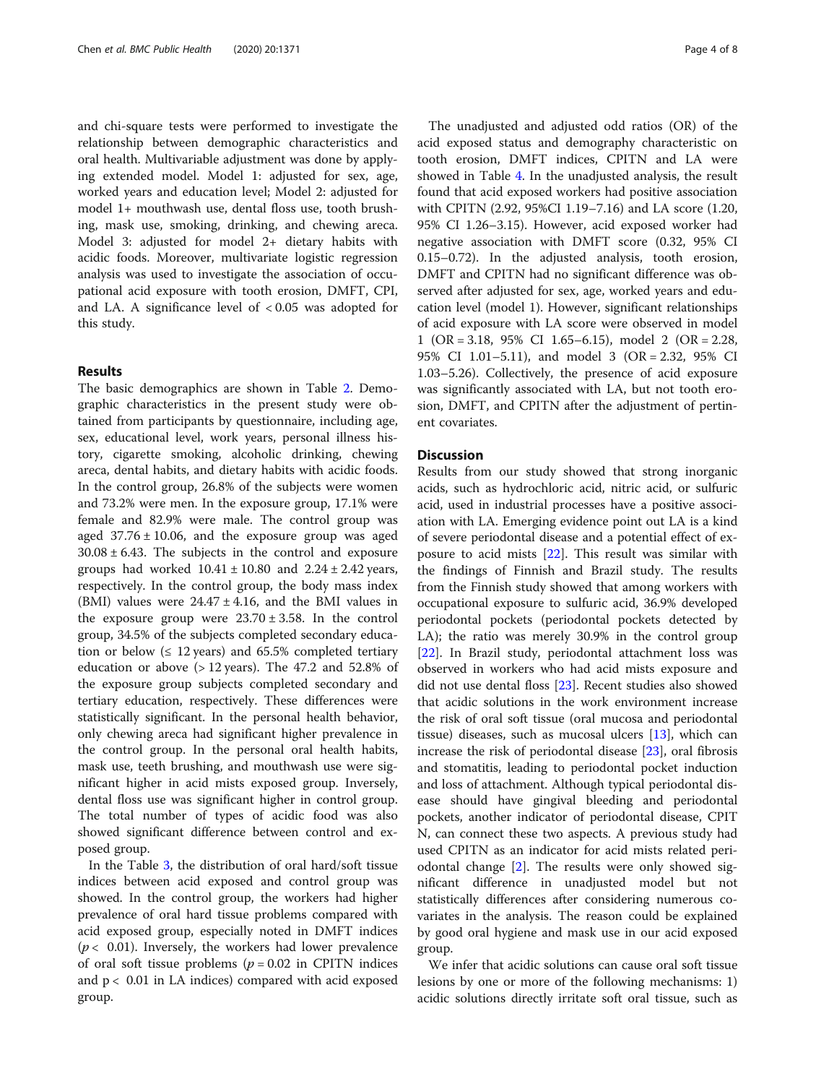and chi-square tests were performed to investigate the relationship between demographic characteristics and oral health. Multivariable adjustment was done by applying extended model. Model 1: adjusted for sex, age, worked years and education level; Model 2: adjusted for model 1+ mouthwash use, dental floss use, tooth brushing, mask use, smoking, drinking, and chewing areca. Model 3: adjusted for model 2+ dietary habits with acidic foods. Moreover, multivariate logistic regression analysis was used to investigate the association of occupational acid exposure with tooth erosion, DMFT, CPI, and LA. A significance level of < 0.05 was adopted for this study.

#### Results

The basic demographics are shown in Table [2.](#page-4-0) Demographic characteristics in the present study were obtained from participants by questionnaire, including age, sex, educational level, work years, personal illness history, cigarette smoking, alcoholic drinking, chewing areca, dental habits, and dietary habits with acidic foods. In the control group, 26.8% of the subjects were women and 73.2% were men. In the exposure group, 17.1% were female and 82.9% were male. The control group was aged  $37.76 \pm 10.06$ , and the exposure group was aged  $30.08 \pm 6.43$ . The subjects in the control and exposure groups had worked  $10.41 \pm 10.80$  and  $2.24 \pm 2.42$  years, respectively. In the control group, the body mass index (BMI) values were  $24.47 \pm 4.16$ , and the BMI values in the exposure group were  $23.70 \pm 3.58$ . In the control group, 34.5% of the subjects completed secondary education or below ( $\leq 12$  years) and 65.5% completed tertiary education or above  $($ > 12 years). The 47.2 and 52.8% of the exposure group subjects completed secondary and tertiary education, respectively. These differences were statistically significant. In the personal health behavior, only chewing areca had significant higher prevalence in the control group. In the personal oral health habits, mask use, teeth brushing, and mouthwash use were significant higher in acid mists exposed group. Inversely, dental floss use was significant higher in control group. The total number of types of acidic food was also showed significant difference between control and exposed group.

In the Table [3](#page-5-0), the distribution of oral hard/soft tissue indices between acid exposed and control group was showed. In the control group, the workers had higher prevalence of oral hard tissue problems compared with acid exposed group, especially noted in DMFT indices  $(p < 0.01)$ . Inversely, the workers had lower prevalence of oral soft tissue problems ( $p = 0.02$  in CPITN indices and  $p < 0.01$  in LA indices) compared with acid exposed group.

The unadjusted and adjusted odd ratios (OR) of the acid exposed status and demography characteristic on tooth erosion, DMFT indices, CPITN and LA were showed in Table [4](#page-6-0). In the unadjusted analysis, the result found that acid exposed workers had positive association with CPITN (2.92, 95%CI 1.19–7.16) and LA score (1.20, 95% CI 1.26–3.15). However, acid exposed worker had negative association with DMFT score (0.32, 95% CI 0.15–0.72). In the adjusted analysis, tooth erosion, DMFT and CPITN had no significant difference was observed after adjusted for sex, age, worked years and education level (model 1). However, significant relationships of acid exposure with LA score were observed in model 1 (OR = 3.18, 95% CI 1.65–6.15), model 2 (OR = 2.28, 95% CI 1.01–5.11), and model 3 (OR = 2.32, 95% CI 1.03–5.26). Collectively, the presence of acid exposure was significantly associated with LA, but not tooth erosion, DMFT, and CPITN after the adjustment of pertinent covariates.

#### **Discussion**

Results from our study showed that strong inorganic acids, such as hydrochloric acid, nitric acid, or sulfuric acid, used in industrial processes have a positive association with LA. Emerging evidence point out LA is a kind of severe periodontal disease and a potential effect of exposure to acid mists [\[22](#page-7-0)]. This result was similar with the findings of Finnish and Brazil study. The results from the Finnish study showed that among workers with occupational exposure to sulfuric acid, 36.9% developed periodontal pockets (periodontal pockets detected by LA); the ratio was merely 30.9% in the control group [[22\]](#page-7-0). In Brazil study, periodontal attachment loss was observed in workers who had acid mists exposure and did not use dental floss [[23\]](#page-7-0). Recent studies also showed that acidic solutions in the work environment increase the risk of oral soft tissue (oral mucosa and periodontal tissue) diseases, such as mucosal ulcers  $[13]$  $[13]$ , which can increase the risk of periodontal disease [[23](#page-7-0)], oral fibrosis and stomatitis, leading to periodontal pocket induction and loss of attachment. Although typical periodontal disease should have gingival bleeding and periodontal pockets, another indicator of periodontal disease, CPIT N, can connect these two aspects. A previous study had used CPITN as an indicator for acid mists related periodontal change [\[2](#page-7-0)]. The results were only showed significant difference in unadjusted model but not statistically differences after considering numerous covariates in the analysis. The reason could be explained by good oral hygiene and mask use in our acid exposed group.

We infer that acidic solutions can cause oral soft tissue lesions by one or more of the following mechanisms: 1) acidic solutions directly irritate soft oral tissue, such as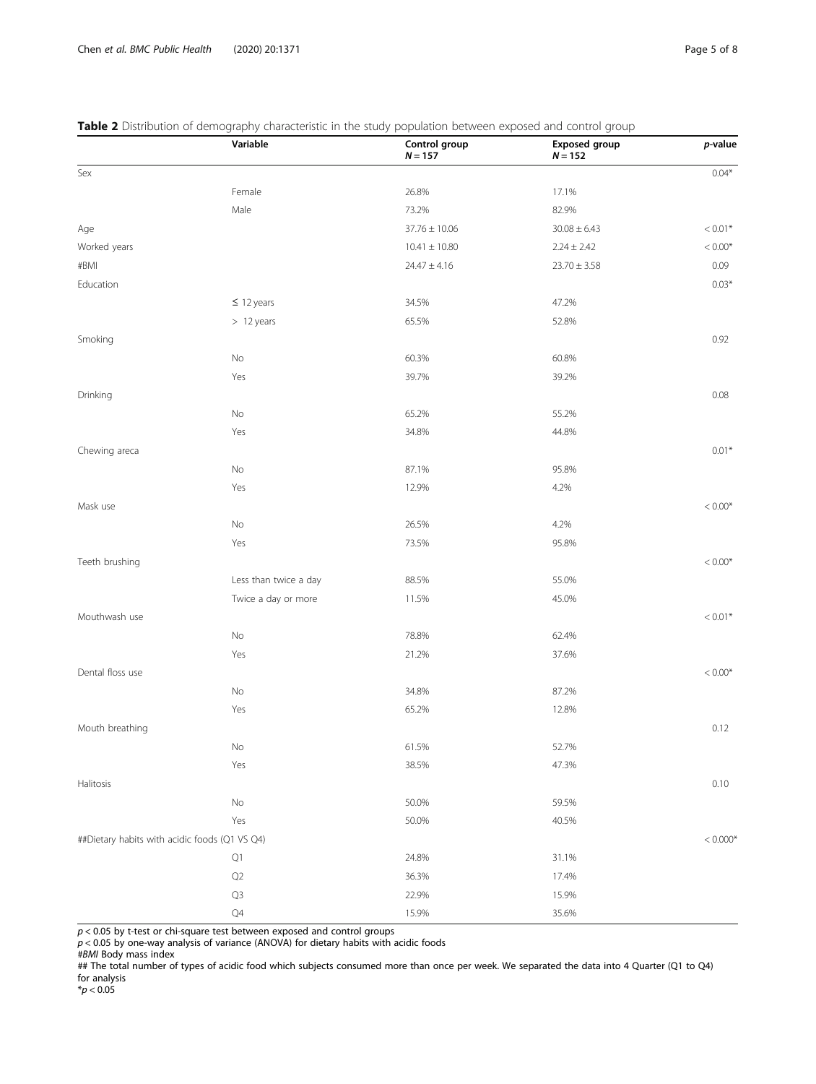#### <span id="page-4-0"></span>Table 2 Distribution of demography characteristic in the study population between exposed and control group

|                                               | Variable              | Control group<br>$N = 157$ | <b>Exposed group</b><br>$N = 152$ | p-value    |
|-----------------------------------------------|-----------------------|----------------------------|-----------------------------------|------------|
| Sex                                           |                       |                            |                                   | $0.04*$    |
|                                               | Female                | 26.8%                      | 17.1%                             |            |
|                                               | Male                  | 73.2%                      | 82.9%                             |            |
| Age                                           |                       | $37.76 \pm 10.06$          | $30.08 \pm 6.43$                  | $< 0.01*$  |
| Worked years                                  |                       | $10.41 \pm 10.80$          | $2.24 \pm 2.42$                   | $< 0.00*$  |
| #BMI                                          |                       | $24.47 \pm 4.16$           | $23.70 \pm 3.58$                  | 0.09       |
| Education                                     |                       |                            |                                   | $0.03*$    |
|                                               | $\leq$ 12 years       | 34.5%                      | 47.2%                             |            |
|                                               | > 12 years            | 65.5%                      | 52.8%                             |            |
| Smoking                                       |                       |                            |                                   | 0.92       |
|                                               | No                    | 60.3%                      | 60.8%                             |            |
|                                               | Yes                   | 39.7%                      | 39.2%                             |            |
| Drinking                                      |                       |                            |                                   | 0.08       |
|                                               | No                    | 65.2%                      | 55.2%                             |            |
|                                               | Yes                   | 34.8%                      | 44.8%                             |            |
| Chewing areca                                 |                       |                            |                                   | $0.01*$    |
|                                               | No                    | 87.1%                      | 95.8%                             |            |
|                                               | Yes                   | 12.9%                      | 4.2%                              |            |
| Mask use                                      |                       |                            |                                   | $< 0.00*$  |
|                                               | No                    | 26.5%                      | 4.2%                              |            |
|                                               | Yes                   | 73.5%                      | 95.8%                             |            |
| Teeth brushing                                |                       |                            |                                   | $< 0.00*$  |
|                                               | Less than twice a day | 88.5%                      | 55.0%                             |            |
|                                               | Twice a day or more   | 11.5%                      | 45.0%                             |            |
| Mouthwash use                                 |                       |                            |                                   | $< 0.01*$  |
|                                               | No                    | 78.8%                      | 62.4%                             |            |
|                                               | Yes                   | 21.2%                      | 37.6%                             |            |
| Dental floss use                              |                       |                            |                                   | $< 0.00*$  |
|                                               | No                    | 34.8%                      | 87.2%                             |            |
|                                               | Yes                   | 65.2%                      | 12.8%                             |            |
| Mouth breathing                               |                       |                            |                                   | 0.12       |
|                                               | No                    | 61.5%                      | 52.7%                             |            |
|                                               | Yes                   | 38.5%                      | 47.3%                             |            |
| Halitosis                                     |                       |                            |                                   | 0.10       |
|                                               | $\rm No$              | 50.0%                      | 59.5%                             |            |
|                                               | Yes                   | 50.0%                      | 40.5%                             |            |
| ##Dietary habits with acidic foods (Q1 VS Q4) |                       |                            |                                   | $< 0.000*$ |
|                                               | $\mathsf{Q}1$         | 24.8%                      | 31.1%                             |            |
|                                               | $\mathsf{Q2}$         | 36.3%                      | 17.4%                             |            |
|                                               | Q3                    | 22.9%                      | 15.9%                             |            |
|                                               | $\mathbb{Q}4$         | 15.9%                      | 35.6%                             |            |

 $p$  < 0.05 by t-test or chi-square test between exposed and control groups

 $p$  < 0.05 by one-way analysis of variance (ANOVA) for dietary habits with acidic foods

## The total number of types of acidic food which subjects consumed more than once per week. We separated the data into 4 Quarter (Q1 to Q4) for analysis

<sup>#</sup>BMI Body mass index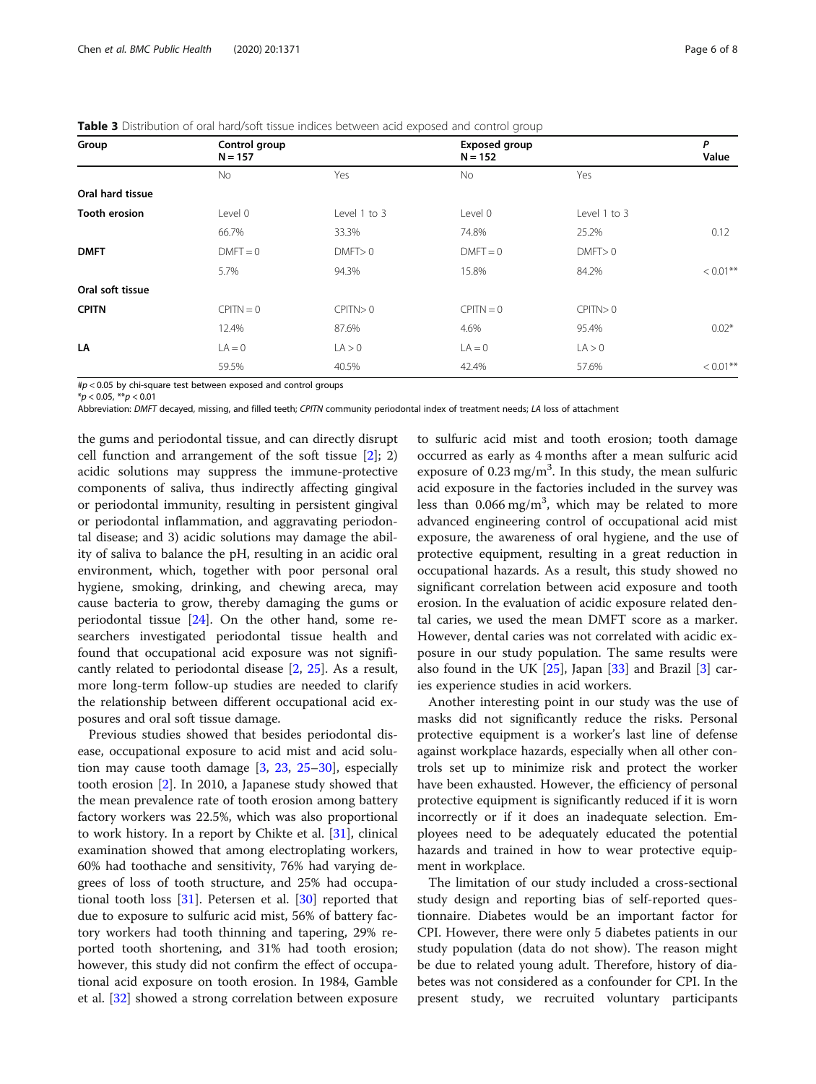| Group                | Control group<br>$N = 157$ |              | <b>Exposed group</b><br>$N = 152$ |              | P<br>Value  |
|----------------------|----------------------------|--------------|-----------------------------------|--------------|-------------|
|                      | <b>No</b>                  | Yes          | <b>No</b>                         | Yes          |             |
| Oral hard tissue     |                            |              |                                   |              |             |
| <b>Tooth erosion</b> | Level 0                    | Level 1 to 3 | Level 0                           | Level 1 to 3 |             |
|                      | 66.7%                      | 33.3%        | 74.8%                             | 25.2%        | 0.12        |
| <b>DMFT</b>          | $DMFT = 0$                 | DMFT > 0     | $DMFT = 0$                        | DMFT > 0     |             |
|                      | 5.7%                       | 94.3%        | 15.8%                             | 84.2%        | $< 0.01***$ |
| Oral soft tissue     |                            |              |                                   |              |             |
| <b>CPITN</b>         | $CPITN = 0$                | CPITN > 0    | $CPITN = 0$                       | CPITN > 0    |             |
|                      | 12.4%                      | 87.6%        | 4.6%                              | 95.4%        | $0.02*$     |
| LA                   | $LA = 0$                   | LA > 0       | $LA = 0$                          | LA > 0       |             |
|                      | 59.5%                      | 40.5%        | 42.4%                             | 57.6%        | $< 0.01***$ |

<span id="page-5-0"></span>Table 3 Distribution of oral hard/soft tissue indices between acid exposed and control group

 $\#p$  < 0.05 by chi-square test between exposed and control groups

Abbreviation: DMFT decayed, missing, and filled teeth; CPITN community periodontal index of treatment needs; LA loss of attachment

the gums and periodontal tissue, and can directly disrupt cell function and arrangement of the soft tissue  $[2]$  $[2]$ ; 2) acidic solutions may suppress the immune-protective components of saliva, thus indirectly affecting gingival or periodontal immunity, resulting in persistent gingival or periodontal inflammation, and aggravating periodontal disease; and 3) acidic solutions may damage the ability of saliva to balance the pH, resulting in an acidic oral environment, which, together with poor personal oral hygiene, smoking, drinking, and chewing areca, may cause bacteria to grow, thereby damaging the gums or periodontal tissue [\[24](#page-7-0)]. On the other hand, some researchers investigated periodontal tissue health and found that occupational acid exposure was not significantly related to periodontal disease [[2,](#page-7-0) [25](#page-7-0)]. As a result, more long-term follow-up studies are needed to clarify the relationship between different occupational acid exposures and oral soft tissue damage.

Previous studies showed that besides periodontal disease, occupational exposure to acid mist and acid solution may cause tooth damage [\[3](#page-7-0), [23,](#page-7-0) [25](#page-7-0)–[30](#page-7-0)], especially tooth erosion [\[2](#page-7-0)]. In 2010, a Japanese study showed that the mean prevalence rate of tooth erosion among battery factory workers was 22.5%, which was also proportional to work history. In a report by Chikte et al. [\[31](#page-7-0)], clinical examination showed that among electroplating workers, 60% had toothache and sensitivity, 76% had varying degrees of loss of tooth structure, and 25% had occupational tooth loss [\[31](#page-7-0)]. Petersen et al. [\[30](#page-7-0)] reported that due to exposure to sulfuric acid mist, 56% of battery factory workers had tooth thinning and tapering, 29% reported tooth shortening, and 31% had tooth erosion; however, this study did not confirm the effect of occupational acid exposure on tooth erosion. In 1984, Gamble et al. [[32\]](#page-7-0) showed a strong correlation between exposure

to sulfuric acid mist and tooth erosion; tooth damage occurred as early as 4 months after a mean sulfuric acid exposure of  $0.23$  mg/m<sup>3</sup>. In this study, the mean sulfuric acid exposure in the factories included in the survey was less than  $0.066$  mg/m<sup>3</sup>, which may be related to more advanced engineering control of occupational acid mist exposure, the awareness of oral hygiene, and the use of protective equipment, resulting in a great reduction in occupational hazards. As a result, this study showed no significant correlation between acid exposure and tooth erosion. In the evaluation of acidic exposure related dental caries, we used the mean DMFT score as a marker. However, dental caries was not correlated with acidic exposure in our study population. The same results were also found in the UK  $[25]$  $[25]$ , Japan  $[33]$  $[33]$  $[33]$  and Brazil  $[3]$  $[3]$  caries experience studies in acid workers.

Another interesting point in our study was the use of masks did not significantly reduce the risks. Personal protective equipment is a worker's last line of defense against workplace hazards, especially when all other controls set up to minimize risk and protect the worker have been exhausted. However, the efficiency of personal protective equipment is significantly reduced if it is worn incorrectly or if it does an inadequate selection. Employees need to be adequately educated the potential hazards and trained in how to wear protective equipment in workplace.

The limitation of our study included a cross-sectional study design and reporting bias of self-reported questionnaire. Diabetes would be an important factor for CPI. However, there were only 5 diabetes patients in our study population (data do not show). The reason might be due to related young adult. Therefore, history of diabetes was not considered as a confounder for CPI. In the present study, we recruited voluntary participants

 $*<sub>p</sub> < 0.05$ ,  $**<sub>p</sub> < 0.01$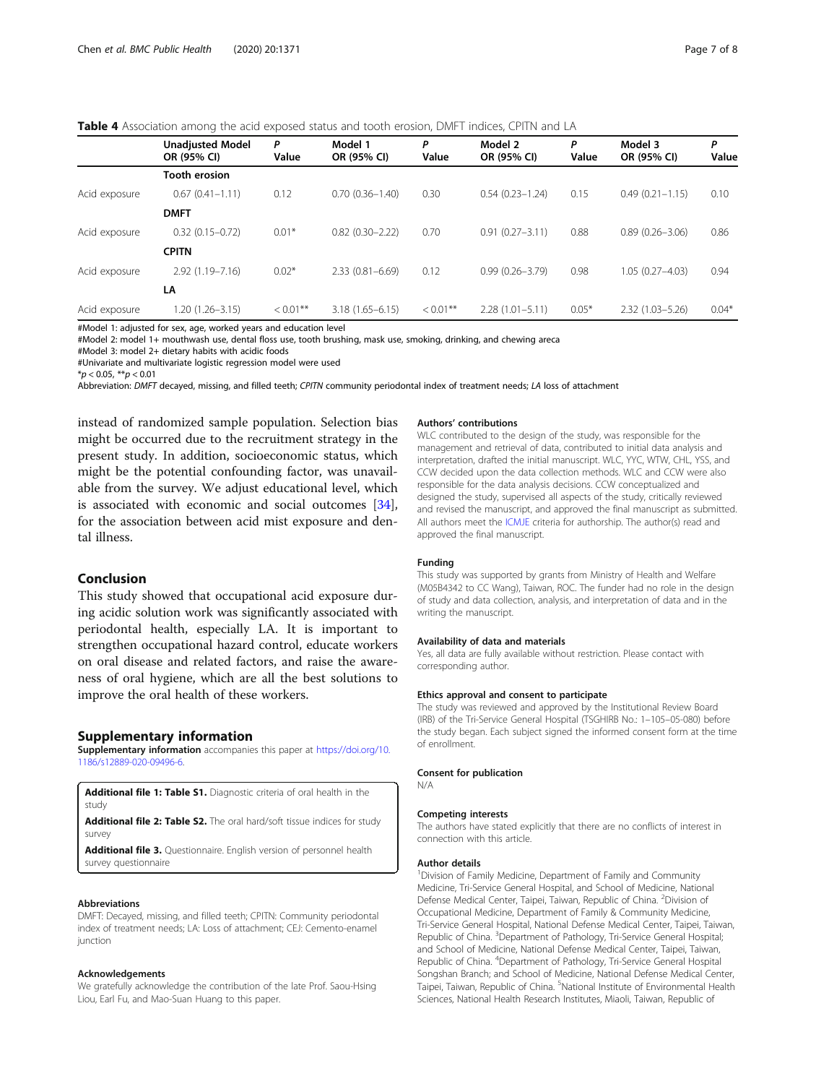<span id="page-6-0"></span>Table 4 Association among the acid exposed status and tooth erosion, DMFT indices, CPITN and LA

|               | <b>Unadjusted Model</b><br>OR (95% CI) | P<br>Value  | Model 1<br>OR (95% CI) | Ρ<br>Value  | Model 2<br>OR (95% CI) | P<br>Value | Model 3<br>OR (95% CI) | P<br>Value |
|---------------|----------------------------------------|-------------|------------------------|-------------|------------------------|------------|------------------------|------------|
|               | <b>Tooth erosion</b>                   |             |                        |             |                        |            |                        |            |
| Acid exposure | $0.67(0.41 - 1.11)$                    | 0.12        | $0.70(0.36 - 1.40)$    | 0.30        | $0.54(0.23 - 1.24)$    | 0.15       | $0.49(0.21 - 1.15)$    | 0.10       |
|               | <b>DMFT</b>                            |             |                        |             |                        |            |                        |            |
| Acid exposure | $0.32(0.15 - 0.72)$                    | $0.01*$     | $0.82(0.30 - 2.22)$    | 0.70        | $0.91(0.27 - 3.11)$    | 0.88       | $0.89(0.26 - 3.06)$    | 0.86       |
|               | <b>CPITN</b>                           |             |                        |             |                        |            |                        |            |
| Acid exposure | $2.92(1.19 - 7.16)$                    | $0.02*$     | $2.33(0.81 - 6.69)$    | 0.12        | $0.99(0.26 - 3.79)$    | 0.98       | $1.05(0.27 - 4.03)$    | 0.94       |
|               | LA                                     |             |                        |             |                        |            |                        |            |
| Acid exposure | $1.20(1.26 - 3.15)$                    | $< 0.01$ ** | $3.18(1.65 - 6.15)$    | $< 0.01$ ** | $2.28(1.01 - 5.11)$    | $0.05*$    | $2.32(1.03 - 5.26)$    | $0.04*$    |

#Model 1: adjusted for sex, age, worked years and education level

#Model 2: model 1+ mouthwash use, dental floss use, tooth brushing, mask use, smoking, drinking, and chewing areca

#Model 3: model 2+ dietary habits with acidic foods

#Univariate and multivariate logistic regression model were used

 $**p* < 0.05, ***p* < 0.01$ 

Abbreviation: DMFT decayed, missing, and filled teeth; CPITN community periodontal index of treatment needs; LA loss of attachment

instead of randomized sample population. Selection bias might be occurred due to the recruitment strategy in the present study. In addition, socioeconomic status, which might be the potential confounding factor, was unavailable from the survey. We adjust educational level, which is associated with economic and social outcomes [\[34](#page-7-0)], for the association between acid mist exposure and dental illness.

#### Conclusion

This study showed that occupational acid exposure during acidic solution work was significantly associated with periodontal health, especially LA. It is important to strengthen occupational hazard control, educate workers on oral disease and related factors, and raise the awareness of oral hygiene, which are all the best solutions to improve the oral health of these workers.

#### Supplementary information

Supplementary information accompanies this paper at [https://doi.org/10.](https://doi.org/10.1186/s12889-020-09496-6) [1186/s12889-020-09496-6](https://doi.org/10.1186/s12889-020-09496-6).

Additional file 1: Table S1. Diagnostic criteria of oral health in the study

Additional file 2: Table S2. The oral hard/soft tissue indices for study survey

Additional file 3. Questionnaire. English version of personnel health survey questionnaire

#### Abbreviations

DMFT: Decayed, missing, and filled teeth; CPITN: Community periodontal index of treatment needs; LA: Loss of attachment; CEJ: Cemento-enamel iunction

#### Acknowledgements

We gratefully acknowledge the contribution of the late Prof. Saou-Hsing Liou, Earl Fu, and Mao-Suan Huang to this paper.

#### Authors' contributions

WLC contributed to the design of the study, was responsible for the management and retrieval of data, contributed to initial data analysis and interpretation, drafted the initial manuscript. WLC, YYC, WTW, CHL, YSS, and CCW decided upon the data collection methods. WLC and CCW were also responsible for the data analysis decisions. CCW conceptualized and designed the study, supervised all aspects of the study, critically reviewed and revised the manuscript, and approved the final manuscript as submitted. All authors meet the [ICMJE](http://www.icmje.org/ethical_1author.html) criteria for authorship. The author(s) read and approved the final manuscript.

#### Funding

This study was supported by grants from Ministry of Health and Welfare (M05B4342 to CC Wang), Taiwan, ROC. The funder had no role in the design of study and data collection, analysis, and interpretation of data and in the writing the manuscript.

#### Availability of data and materials

Yes, all data are fully available without restriction. Please contact with corresponding author.

#### Ethics approval and consent to participate

The study was reviewed and approved by the Institutional Review Board (IRB) of the Tri-Service General Hospital (TSGHIRB No.: 1–105–05-080) before the study began. Each subject signed the informed consent form at the time of enrollment.

#### Consent for publication

N/A

#### Competing interests

The authors have stated explicitly that there are no conflicts of interest in connection with this article.

#### Author details

<sup>1</sup> Division of Family Medicine, Department of Family and Community Medicine, Tri-Service General Hospital, and School of Medicine, National Defense Medical Center, Taipei, Taiwan, Republic of China. <sup>2</sup>Division of Occupational Medicine, Department of Family & Community Medicine, Tri-Service General Hospital, National Defense Medical Center, Taipei, Taiwan, Republic of China. <sup>3</sup>Department of Pathology, Tri-Service General Hospital; and School of Medicine, National Defense Medical Center, Taipei, Taiwan, Republic of China. <sup>4</sup>Department of Pathology, Tri-Service General Hospital Songshan Branch; and School of Medicine, National Defense Medical Center, Taipei, Taiwan, Republic of China. <sup>5</sup>National Institute of Environmental Health Sciences, National Health Research Institutes, Miaoli, Taiwan, Republic of